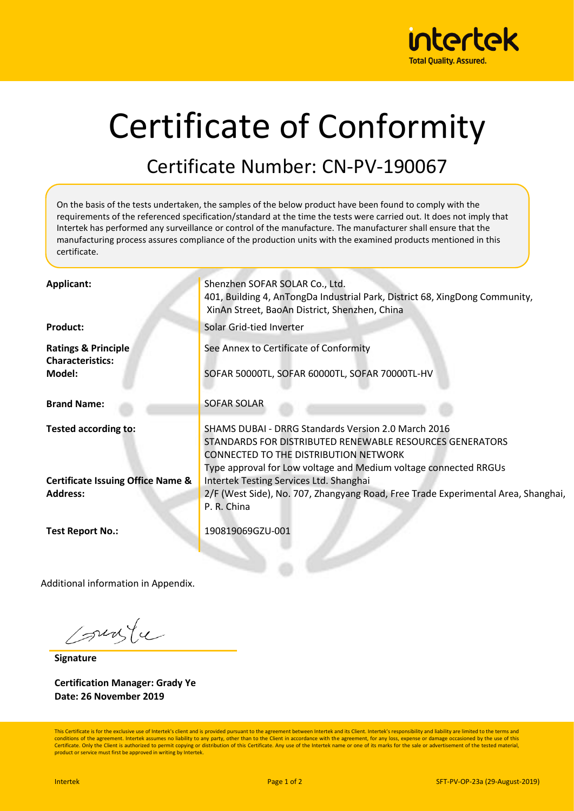

## Certificate of Conformity

## Certificate Number: CN-PV-190067

On the basis of the tests undertaken, the samples of the below product have been found to comply with the requirements of the referenced specification/standard at the time the tests were carried out. It does not imply that Intertek has performed any surveillance or control of the manufacture. The manufacturer shall ensure that the manufacturing process assures compliance of the production units with the examined products mentioned in this certificate.

| Applicant:                                                | Shenzhen SOFAR SOLAR Co., Ltd.<br>401, Building 4, AnTongDa Industrial Park, District 68, XingDong Community,<br>XinAn Street, BaoAn District, Shenzhen, China                                                                             |
|-----------------------------------------------------------|--------------------------------------------------------------------------------------------------------------------------------------------------------------------------------------------------------------------------------------------|
| <b>Product:</b>                                           | Solar Grid-tied Inverter                                                                                                                                                                                                                   |
| <b>Ratings &amp; Principle</b><br><b>Characteristics:</b> | See Annex to Certificate of Conformity                                                                                                                                                                                                     |
| Model:                                                    | SOFAR 50000TL, SOFAR 60000TL, SOFAR 70000TL-HV                                                                                                                                                                                             |
| <b>Brand Name:</b>                                        | SOFAR SOLAR                                                                                                                                                                                                                                |
| Tested according to:                                      | <b>SHAMS DUBAI - DRRG Standards Version 2.0 March 2016</b><br>STANDARDS FOR DISTRIBUTED RENEWABLE RESOURCES GENERATORS<br><b>CONNECTED TO THE DISTRIBUTION NETWORK</b><br>Type approval for Low voltage and Medium voltage connected RRGUs |
| <b>Certificate Issuing Office Name &amp;</b>              | Intertek Testing Services Ltd. Shanghai                                                                                                                                                                                                    |
| <b>Address:</b>                                           | 2/F (West Side), No. 707, Zhangyang Road, Free Trade Experimental Area, Shanghai,<br>P. R. China                                                                                                                                           |
| <b>Test Report No.:</b>                                   | 190819069GZU-001                                                                                                                                                                                                                           |

Additional information in Appendix.

sungle

**Signature**

**Certification Manager: Grady Ye Date: 26 November 2019**

This Certificate is for the exclusive use of Intertek's client and is provided pursuant to the agreement between Intertek and its Client. Intertek's responsibility and liability are limited to the terms and conditions of the agreement. Intertek assumes no liability to any party, other than to the Client in accordance with the agreement, for any loss, expense or damage occasioned by the use of this Certificate. Only the Client is authorized to permit copying or distribution of this Certificate. Any use of the Intertek name or one of its marks for the sale or advertisement of the tested material product or service must first be approved in writing by Intertek.